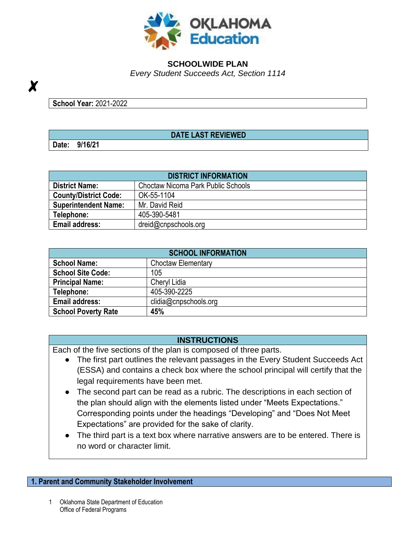

#### **SCHOOLWIDE PLAN**

*Every Student Succeeds Act, Section 1114*

**School Year:** 2021-2022

#### **DATE LAST REVIEWED**

**Date: 9/16/21**

 $\boldsymbol{X}$ 

|                              | <b>DISTRICT INFORMATION</b>        |  |  |  |
|------------------------------|------------------------------------|--|--|--|
| <b>District Name:</b>        | Choctaw Nicoma Park Public Schools |  |  |  |
| <b>County/District Code:</b> | OK-55-1104                         |  |  |  |
| <b>Superintendent Name:</b>  | Mr. David Reid                     |  |  |  |
| Telephone:                   | 405-390-5481                       |  |  |  |
| <b>Email address:</b>        | dreid@cnpschools.org               |  |  |  |

| <b>SCHOOL INFORMATION</b>                      |                           |  |  |
|------------------------------------------------|---------------------------|--|--|
| <b>School Name:</b>                            | <b>Choctaw Elementary</b> |  |  |
| <b>School Site Code:</b>                       | 105                       |  |  |
| <b>Principal Name:</b>                         | Cheryl Lidia              |  |  |
| Telephone:                                     | 405-390-2225              |  |  |
| <b>Email address:</b><br>clidia@cnpschools.org |                           |  |  |
| <b>School Poverty Rate</b>                     | 45%                       |  |  |

#### **INSTRUCTIONS**

Each of the five sections of the plan is composed of three parts.

- The first part outlines the relevant passages in the Every Student Succeeds Act (ESSA) and contains a check box where the school principal will certify that the legal requirements have been met.
- The second part can be read as a rubric. The descriptions in each section of the plan should align with the elements listed under "Meets Expectations." Corresponding points under the headings "Developing" and "Does Not Meet Expectations" are provided for the sake of clarity.
- The third part is a text box where narrative answers are to be entered. There is no word or character limit.

**1. Parent and Community Stakeholder Involvement**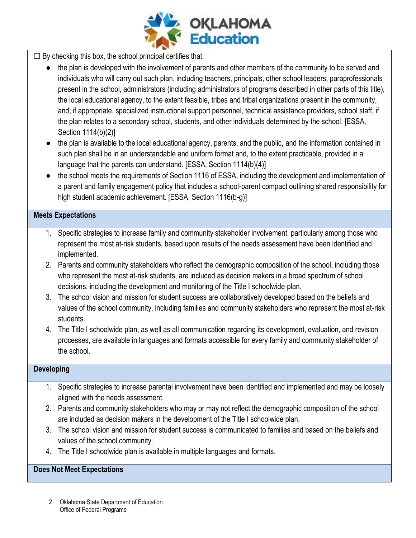

- $\Box$  By checking this box, the school principal certifies that:
	- the plan is developed with the involvement of parents and other members of the community to be served and individuals who will carry out such plan, including teachers, principals, other school leaders, paraprofessionals present in the school, administrators (including administrators of programs described in other parts of this title), the local educational agency, to the extent feasible, tribes and tribal organizations present in the community, and, if appropriate, specialized instructional support personnel, technical assistance providers, school staff, if the plan relates to a secondary school, students, and other individuals determined by the school. [ESSA, Section 1114(b)(2)]
	- the plan is available to the local educational agency, parents, and the public, and the information contained in such plan shall be in an understandable and uniform format and, to the extent practicable, provided in a language that the parents can understand. [ESSA, Section 1114(b)(4)]
	- the school meets the requirements of Section 1116 of ESSA, including the development and implementation of a parent and family engagement policy that includes a school-parent compact outlining shared responsibility for high student academic achievement. [ESSA, Section 1116(b-g)]

#### **Meets Expectations**

- 1. Specific strategies to increase family and community stakeholder involvement, particularly among those who represent the most at-risk students, based upon results of the needs assessment have been identified and implemented.
- 2. Parents and community stakeholders who reflect the demographic composition of the school, including those who represent the most at-risk students, are included as decision makers in a broad spectrum of school decisions, including the development and monitoring of the Title I schoolwide plan.
- 3. The school vision and mission for student success are collaboratively developed based on the beliefs and values of the school community, including families and community stakeholders who represent the most at-risk students.
- 4. The Title I schoolwide plan, as well as all communication regarding its development, evaluation, and revision processes, are available in languages and formats accessible for every family and community stakeholder of the school.

#### **Developing**

- 1. Specific strategies to increase parental involvement have been identified and implemented and may be loosely aligned with the needs assessment.
- 2. Parents and community stakeholders who may or may not reflect the demographic composition of the school are included as decision makers in the development of the Title I schoolwide plan.
- 3. The school vision and mission for student success is communicated to families and based on the beliefs and values of the school community.
- 4. The Title I schoolwide plan is available in multiple languages and formats.

#### **Does Not Meet Expectations**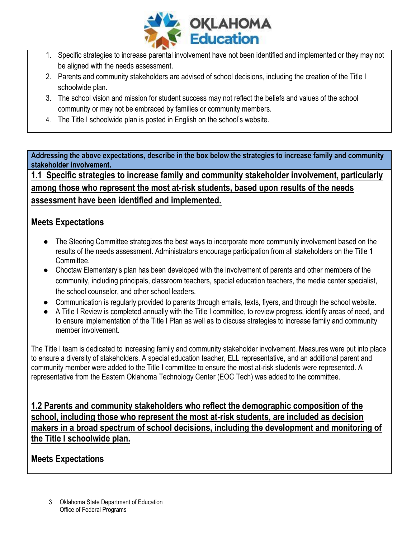

- 1. Specific strategies to increase parental involvement have not been identified and implemented or they may not be aligned with the needs assessment.
- 2. Parents and community stakeholders are advised of school decisions, including the creation of the Title I schoolwide plan.
- 3. The school vision and mission for student success may not reflect the beliefs and values of the school community or may not be embraced by families or community members.
- 4. The Title I schoolwide plan is posted in English on the school's website.

**Addressing the above expectations, describe in the box below the strategies to increase family and community stakeholder involvement.** 

**1.1 Specific strategies to increase family and community stakeholder involvement, particularly among those who represent the most at-risk students, based upon results of the needs assessment have been identified and implemented.**

# **Meets Expectations**

- The Steering Committee strategizes the best ways to incorporate more community involvement based on the results of the needs assessment. Administrators encourage participation from all stakeholders on the Title 1 Committee.
- Choctaw Elementary's plan has been developed with the involvement of parents and other members of the community, including principals, classroom teachers, special education teachers, the media center specialist, the school counselor, and other school leaders.
- Communication is regularly provided to parents through emails, texts, flyers, and through the school website.
- A Title I Review is completed annually with the Title I committee, to review progress, identify areas of need, and to ensure implementation of the Title I Plan as well as to discuss strategies to increase family and community member involvement.

The Title I team is dedicated to increasing family and community stakeholder involvement. Measures were put into place to ensure a diversity of stakeholders. A special education teacher, ELL representative, and an additional parent and community member were added to the Title I committee to ensure the most at-risk students were represented. A representative from the Eastern Oklahoma Technology Center (EOC Tech) was added to the committee.

**1.2 Parents and community stakeholders who reflect the demographic composition of the school, including those who represent the most at-risk students, are included as decision makers in a broad spectrum of school decisions, including the development and monitoring of the Title I schoolwide plan.**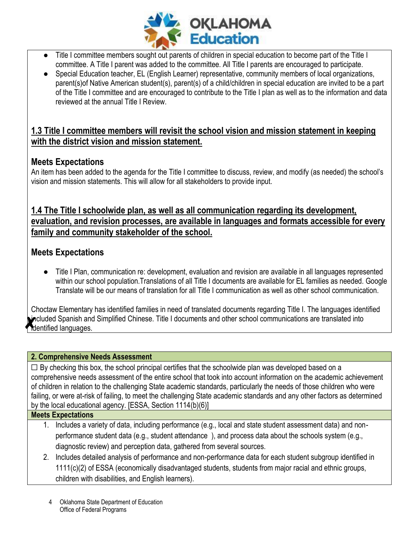

- Title I committee members sought out parents of children in special education to become part of the Title I committee. A Title I parent was added to the committee. All Title I parents are encouraged to participate.
- Special Education teacher, EL (English Learner) representative, community members of local organizations, parent(s)of Native American student(s), parent(s) of a child/children in special education are invited to be a part of the Title I committee and are encouraged to contribute to the Title I plan as well as to the information and data reviewed at the annual Title I Review.

## **1.3 Title I committee members will revisit the school vision and mission statement in keeping with the district vision and mission statement.**

# **Meets Expectations**

An item has been added to the agenda for the Title I committee to discuss, review, and modify (as needed) the school's vision and mission statements. This will allow for all stakeholders to provide input.

## **1.4 The Title I schoolwide plan, as well as all communication regarding its development, evaluation, and revision processes, are available in languages and formats accessible for every family and community stakeholder of the school.**

## **Meets Expectations**

● Title I Plan, communication re: development, evaluation and revision are available in all languages represented within our school population. Translations of all Title I documents are available for EL families as needed. Google Translate will be our means of translation for all Title I communication as well as other school communication.

Choctaw Elementary has identified families in need of translated documents regarding Title I. The languages identified included Spanish and Simplified Chinese. Title I documents and other school communications are translated into identified languages.

#### **2. Comprehensive Needs Assessment**

 $\Box$  By checking this box, the school principal certifies that the schoolwide plan was developed based on a comprehensive needs assessment of the entire school that took into account information on the academic achievement of children in relation to the challenging State academic standards, particularly the needs of those children who were failing, or were at-risk of failing, to meet the challenging State academic standards and any other factors as determined by the local educational agency. [ESSA, Section 1114(b)(6)]

- 1. Includes a variety of data, including performance (e.g., local and state student assessment data) and nonperformance student data (e.g., student attendance ), and process data about the schools system (e.g., diagnostic review) and perception data, gathered from several sources.
- 2. Includes detailed analysis of performance and non-performance data for each student subgroup identified in 1111(c)(2) of ESSA (economically disadvantaged students, students from major racial and ethnic groups, children with disabilities, and English learners).
	- 4 Oklahoma State Department of Education Office of Federal Programs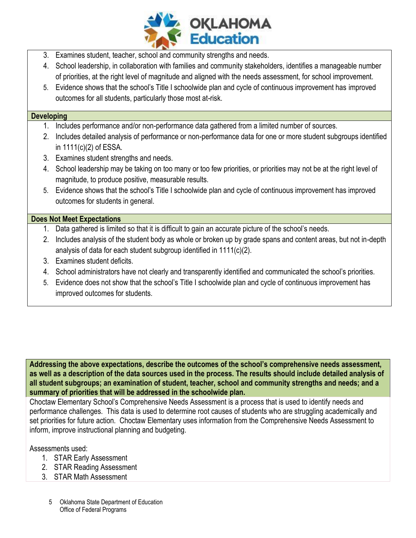

- 3. Examines student, teacher, school and community strengths and needs.
- 4. School leadership, in collaboration with families and community stakeholders, identifies a manageable number of priorities, at the right level of magnitude and aligned with the needs assessment, for school improvement.
- 5. Evidence shows that the school's Title I schoolwide plan and cycle of continuous improvement has improved outcomes for all students, particularly those most at-risk.

#### **Developing**

- 1. Includes performance and/or non-performance data gathered from a limited number of sources.
- 2. Includes detailed analysis of performance or non-performance data for one or more student subgroups identified in 1111(c)(2) of ESSA.
- 3. Examines student strengths and needs.
- 4. School leadership may be taking on too many or too few priorities, or priorities may not be at the right level of magnitude, to produce positive, measurable results.
- 5. Evidence shows that the school's Title I schoolwide plan and cycle of continuous improvement has improved outcomes for students in general.

#### **Does Not Meet Expectations**

- 1. Data gathered is limited so that it is difficult to gain an accurate picture of the school's needs.
- 2. Includes analysis of the student body as whole or broken up by grade spans and content areas, but not in-depth analysis of data for each student subgroup identified in 1111(c)(2).
- 3. Examines student deficits.
- 4. School administrators have not clearly and transparently identified and communicated the school's priorities.
- 5. Evidence does not show that the school's Title I schoolwide plan and cycle of continuous improvement has improved outcomes for students.

**Addressing the above expectations, describe the outcomes of the school's comprehensive needs assessment, as well as a description of the data sources used in the process. The results should include detailed analysis of all student subgroups; an examination of student, teacher, school and community strengths and needs; and a summary of priorities that will be addressed in the schoolwide plan.**

Choctaw Elementary School's Comprehensive Needs Assessment is a process that is used to identify needs and performance challenges. This data is used to determine root causes of students who are struggling academically and set priorities for future action. Choctaw Elementary uses information from the Comprehensive Needs Assessment to inform, improve instructional planning and budgeting.

#### Assessments used:

- 1. STAR Early Assessment
- 2. STAR Reading Assessment
- 3. STAR Math Assessment
	- 5 Oklahoma State Department of Education Office of Federal Programs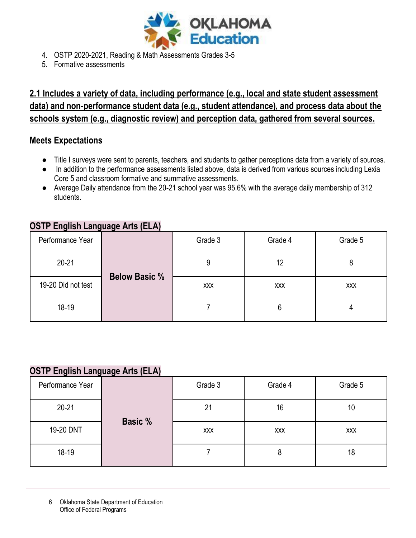

- 4. OSTP 2020-2021, Reading & Math Assessments Grades 3-5
- 5. Formative assessments

**2.1 Includes a variety of data, including performance (e.g., local and state student assessment data) and non-performance student data (e.g., student attendance), and process data about the schools system (e.g., diagnostic review) and perception data, gathered from several sources.**

### **Meets Expectations**

- Title I surveys were sent to parents, teachers, and students to gather perceptions data from a variety of sources.
- In addition to the performance assessments listed above, data is derived from various sources including Lexia Core 5 and classroom formative and summative assessments.
- Average Daily attendance from the 20-21 school year was 95.6% with the average daily membership of 312 students.

## **OSTP English Language Arts (ELA)**

| Performance Year   |                      | Grade 3    | Grade 4    | Grade 5    |
|--------------------|----------------------|------------|------------|------------|
| $20 - 21$          | <b>Below Basic %</b> |            | 12         |            |
| 19-20 Did not test |                      | <b>XXX</b> | <b>XXX</b> | <b>XXX</b> |
| $18-19$            |                      |            | b          |            |

# **OSTP English Language Arts (ELA)**

| Performance Year |                | Grade 3    | Grade 4 | Grade 5    |
|------------------|----------------|------------|---------|------------|
| $20 - 21$        |                | 21         | 16      | 10         |
| 19-20 DNT        | <b>Basic %</b> | <b>XXX</b> | XXX     | <b>XXX</b> |
| $18-19$          |                |            | 8       | 18         |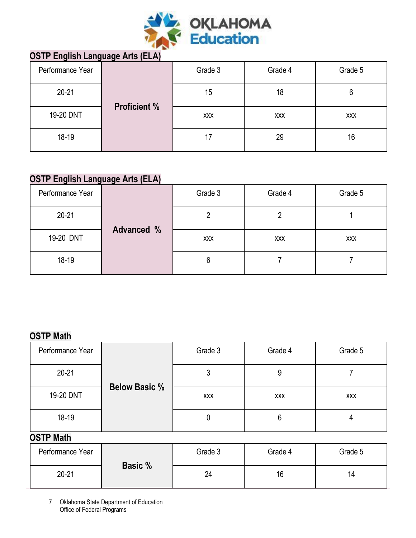

# **OSTP English Language Arts (ELA)**

| Performance Year |                     | Grade 3    | Grade 4    | Grade 5    |
|------------------|---------------------|------------|------------|------------|
| $20 - 21$        |                     | 15         | 18         | 6          |
| 19-20 DNT        | <b>Proficient %</b> | <b>XXX</b> | <b>XXX</b> | <b>XXX</b> |
| $18-19$          |                     |            | 29         | 16         |

# **OSTP English Language Arts (ELA)**

| Performance Year |                   | Grade 3    | Grade 4 | Grade 5    |
|------------------|-------------------|------------|---------|------------|
| $20 - 21$        |                   |            |         |            |
| 19-20 DNT        | <b>Advanced %</b> | <b>XXX</b> | XXX     | <b>XXX</b> |
| $18-19$          |                   | 6          |         |            |

# **OSTP Math**

| Performance Year |                      | Grade 3    | Grade 4 | Grade 5    |  |  |
|------------------|----------------------|------------|---------|------------|--|--|
| $20 - 21$        |                      | 3          | 9       |            |  |  |
| 19-20 DNT        | <b>Below Basic %</b> | <b>XXX</b> | XXX     | <b>XXX</b> |  |  |
| $18-19$          |                      | 0          | 6       | 4          |  |  |
| <b>OSTP Math</b> |                      |            |         |            |  |  |
| Performance Year |                      | Grade 3    | Grade 4 | Grade 5    |  |  |
| $20 - 21$        | <b>Basic %</b>       | 24         | 16      | 14         |  |  |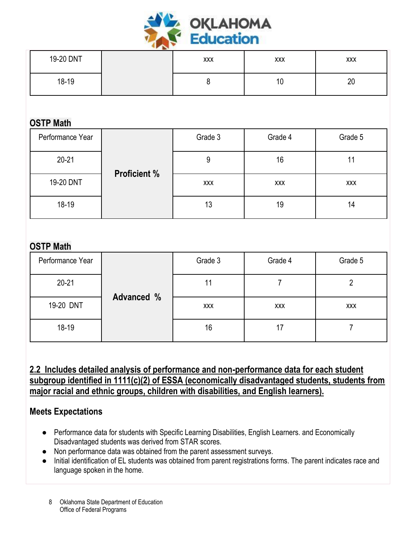

| 19-20 DNT | XXX | XXX | <b>XXX</b> |
|-----------|-----|-----|------------|
| 18-19     |     | ιu  | 20         |

## **OSTP Math**

| Performance Year |                     | Grade 3    | Grade 4    | Grade 5 |
|------------------|---------------------|------------|------------|---------|
| $20 - 21$        | <b>Proficient %</b> |            | 16         |         |
| 19-20 DNT        |                     | <b>XXX</b> | <b>XXX</b> | XXX     |
| $18-19$          |                     | 13         | 19         | 14      |

## **OSTP Math**

| Performance Year |                   | Grade 3    | Grade 4    | Grade 5    |
|------------------|-------------------|------------|------------|------------|
| $20 - 21$        |                   |            |            |            |
| 19-20 DNT        | <b>Advanced %</b> | <b>XXX</b> | <b>XXX</b> | <b>XXX</b> |
| $18-19$          |                   | 16         | 17         |            |

## **2.2 Includes detailed analysis of performance and non-performance data for each student subgroup identified in 1111(c)(2) of ESSA (economically disadvantaged students, students from major racial and ethnic groups, children with disabilities, and English learners).**

- Performance data for students with Specific Learning Disabilities, English Learners. and Economically Disadvantaged students was derived from STAR scores.
- Non performance data was obtained from the parent assessment surveys.
- Initial identification of EL students was obtained from parent registrations forms. The parent indicates race and language spoken in the home.
	- 8 Oklahoma State Department of Education Office of Federal Programs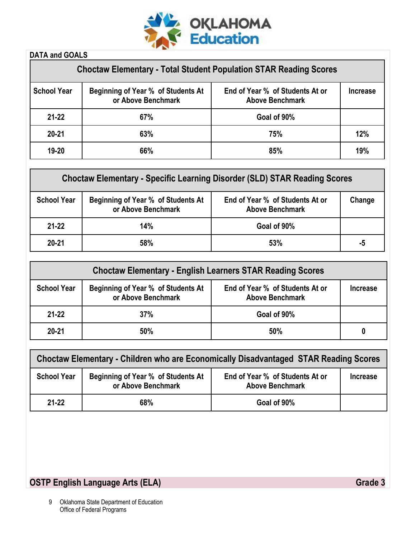

### **DATA and GOALS**

| <b>Choctaw Elementary - Total Student Population STAR Reading Scores</b> |                                                                 |                                                           |          |  |  |  |
|--------------------------------------------------------------------------|-----------------------------------------------------------------|-----------------------------------------------------------|----------|--|--|--|
| <b>School Year</b>                                                       | <b>Beginning of Year % of Students At</b><br>or Above Benchmark | End of Year % of Students At or<br><b>Above Benchmark</b> | Increase |  |  |  |
| $21 - 22$                                                                | 67%                                                             | Goal of 90%                                               |          |  |  |  |
| $20 - 21$                                                                | 63%                                                             | 75%                                                       | 12%      |  |  |  |
| $19 - 20$                                                                | 66%                                                             | 85%                                                       | 19%      |  |  |  |

| <b>Choctaw Elementary - Specific Learning Disorder (SLD) STAR Reading Scores</b> |                                                                 |                                                           |        |  |  |
|----------------------------------------------------------------------------------|-----------------------------------------------------------------|-----------------------------------------------------------|--------|--|--|
| <b>School Year</b>                                                               | <b>Beginning of Year % of Students At</b><br>or Above Benchmark | End of Year % of Students At or<br><b>Above Benchmark</b> | Change |  |  |
| $21 - 22$                                                                        | 14%                                                             | Goal of 90%                                               |        |  |  |
| $20 - 21$                                                                        | 58%                                                             | 53%                                                       | -5     |  |  |

| <b>Choctaw Elementary - English Learners STAR Reading Scores</b> |                                                                 |                                                           |          |  |
|------------------------------------------------------------------|-----------------------------------------------------------------|-----------------------------------------------------------|----------|--|
| <b>School Year</b>                                               | <b>Beginning of Year % of Students At</b><br>or Above Benchmark | End of Year % of Students At or<br><b>Above Benchmark</b> | Increase |  |
| $21 - 22$                                                        | 37%                                                             | Goal of 90%                                               |          |  |
| $20 - 21$                                                        | 50%                                                             | 50%                                                       |          |  |

| Choctaw Elementary - Children who are Economically Disadvantaged STAR Reading Scores |                                                          |                                                           |                 |  |
|--------------------------------------------------------------------------------------|----------------------------------------------------------|-----------------------------------------------------------|-----------------|--|
| <b>School Year</b>                                                                   | Beginning of Year % of Students At<br>or Above Benchmark | End of Year % of Students At or<br><b>Above Benchmark</b> | <b>Increase</b> |  |
| $21 - 22$                                                                            | 68%                                                      | Goal of 90%                                               |                 |  |

# **OSTP English Language Arts (ELA)** Grade 3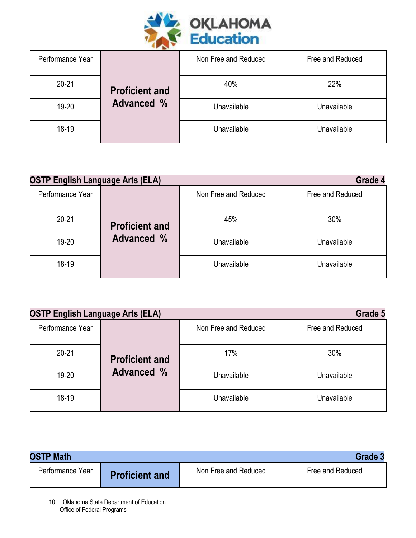

| Performance Year |                       | Non Free and Reduced | Free and Reduced |
|------------------|-----------------------|----------------------|------------------|
| $20 - 21$        | <b>Proficient and</b> | 40%                  | 22%              |
| $19 - 20$        | <b>Advanced %</b>     | Unavailable          | Unavailable      |
| $18 - 19$        |                       | Unavailable          | Unavailable      |

| <b>OSTP English Language Arts (ELA)</b> |                       |                      | Grade 4          |
|-----------------------------------------|-----------------------|----------------------|------------------|
| Performance Year                        | <b>Proficient and</b> | Non Free and Reduced | Free and Reduced |
| $20 - 21$                               |                       | 45%                  | 30%              |
| $19 - 20$                               | Advanced %            | Unavailable          | Unavailable      |
| $18 - 19$                               |                       | Unavailable          | Unavailable      |

| <b>OSTP English Language Arts (ELA)</b> |                       |                      | Grade 5          |
|-----------------------------------------|-----------------------|----------------------|------------------|
| Performance Year                        |                       | Non Free and Reduced | Free and Reduced |
| $20 - 21$                               | <b>Proficient and</b> | 17%                  | 30%              |
| 19-20                                   | <b>Advanced %</b>     | Unavailable          | Unavailable      |
| 18-19                                   |                       | Unavailable          | Unavailable      |

| <b>OSTP Math</b> |                       |                      | Grade            |
|------------------|-----------------------|----------------------|------------------|
| Performance Year | <b>Proficient and</b> | Non Free and Reduced | Free and Reduced |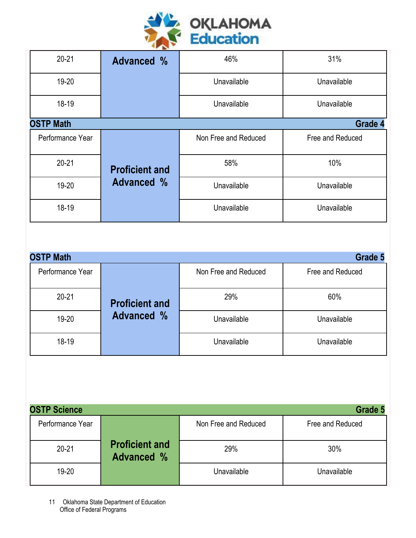

| $20 - 21$        | <b>Advanced %</b>     | 46%                  | 31%              |
|------------------|-----------------------|----------------------|------------------|
| $19 - 20$        |                       | Unavailable          | Unavailable      |
| 18-19            |                       | Unavailable          | Unavailable      |
| <b>OSTP Math</b> |                       |                      | Grade 4          |
| Performance Year |                       | Non Free and Reduced | Free and Reduced |
| $20 - 21$        | <b>Proficient and</b> | 58%                  | 10%              |
| 19-20            | <b>Advanced %</b>     | Unavailable          | Unavailable      |
| 18-19            |                       | Unavailable          | Unavailable      |

| <b>OSTP Math</b> |                       |                      | Grade 5          |
|------------------|-----------------------|----------------------|------------------|
| Performance Year |                       | Non Free and Reduced | Free and Reduced |
| $20 - 21$        | <b>Proficient and</b> | 29%                  | 60%              |
| $19 - 20$        | <b>Advanced %</b>     | Unavailable          | Unavailable      |
| $18 - 19$        |                       | Unavailable          | Unavailable      |

| <b>OSTP Science</b> |                                            |                      | Grade 5          |
|---------------------|--------------------------------------------|----------------------|------------------|
| Performance Year    |                                            | Non Free and Reduced | Free and Reduced |
| $20 - 21$           | <b>Proficient and</b><br><b>Advanced %</b> | 29%                  | 30%              |
| $19 - 20$           |                                            | Unavailable          | Unavailable      |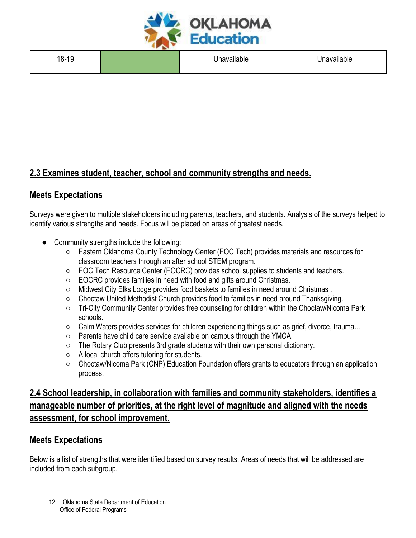

| $18-$<br>-19 | ____ | <br>DІE |
|--------------|------|---------|
|--------------|------|---------|

# **2.3 Examines student, teacher, school and community strengths and needs.**

### **Meets Expectations**

Surveys were given to multiple stakeholders including parents, teachers, and students. Analysis of the surveys helped to identify various strengths and needs. Focus will be placed on areas of greatest needs.

- Community strengths include the following:
	- Eastern Oklahoma County Technology Center (EOC Tech) provides materials and resources for classroom teachers through an after school STEM program.
	- EOC Tech Resource Center (EOCRC) provides school supplies to students and teachers.
	- EOCRC provides families in need with food and gifts around Christmas.
	- Midwest City Elks Lodge provides food baskets to families in need around Christmas .
	- Choctaw United Methodist Church provides food to families in need around Thanksgiving.
	- Tri-City Community Center provides free counseling for children within the Choctaw/Nicoma Park schools.
	- $\circ$  Calm Waters provides services for children experiencing things such as grief, divorce, trauma...
	- Parents have child care service available on campus through the YMCA.
	- The Rotary Club presents 3rd grade students with their own personal dictionary.
	- A local church offers tutoring for students.
	- Choctaw/Nicoma Park (CNP) Education Foundation offers grants to educators through an application process.

# **2.4 School leadership, in collaboration with families and community stakeholders, identifies a manageable number of priorities, at the right level of magnitude and aligned with the needs assessment, for school improvement.**

### **Meets Expectations**

Below is a list of strengths that were identified based on survey results. Areas of needs that will be addressed are included from each subgroup.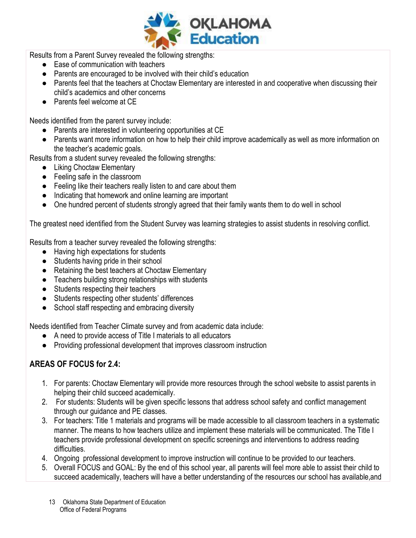

Results from a Parent Survey revealed the following strengths:

- Ease of communication with teachers
- Parents are encouraged to be involved with their child's education
- Parents feel that the teachers at Choctaw Elementary are interested in and cooperative when discussing their child's academics and other concerns
- Parents feel welcome at CE

Needs identified from the parent survey include:

- Parents are interested in volunteering opportunities at CE
- Parents want more information on how to help their child improve academically as well as more information on the teacher's academic goals.

Results from a student survey revealed the following strengths:

- Liking Choctaw Elementary
- Feeling safe in the classroom
- Feeling like their teachers really listen to and care about them
- Indicating that homework and online learning are important
- One hundred percent of students strongly agreed that their family wants them to do well in school

The greatest need identified from the Student Survey was learning strategies to assist students in resolving conflict.

Results from a teacher survey revealed the following strengths:

- Having high expectations for students
- Students having pride in their school
- Retaining the best teachers at Choctaw Elementary
- Teachers building strong relationships with students
- Students respecting their teachers
- Students respecting other students' differences
- School staff respecting and embracing diversity

Needs identified from Teacher Climate survey and from academic data include:

- A need to provide access of Title I materials to all educators
- Providing professional development that improves classroom instruction

### **AREAS OF FOCUS for 2.4:**

- 1. For parents: Choctaw Elementary will provide more resources through the school website to assist parents in helping their child succeed academically.
- 2. For students: Students will be given specific lessons that address school safety and conflict management through our guidance and PE classes.
- 3. For teachers: Title 1 materials and programs will be made accessible to all classroom teachers in a systematic manner. The means to how teachers utilize and implement these materials will be communicated. The Title I teachers provide professional development on specific screenings and interventions to address reading difficulties.
- 4. Ongoing professional development to improve instruction will continue to be provided to our teachers.
- 5. Overall FOCUS and GOAL: By the end of this school year, all parents will feel more able to assist their child to succeed academically, teachers will have a better understanding of the resources our school has available,and
	- 13 Oklahoma State Department of Education Office of Federal Programs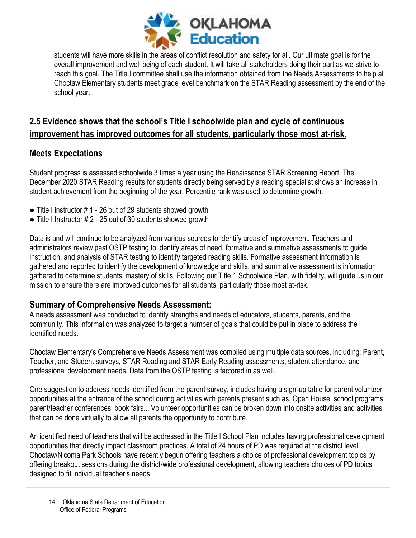

students will have more skills in the areas of conflict resolution and safety for all. Our ultimate goal is for the overall improvement and well being of each student. It will take all stakeholders doing their part as we strive to reach this goal. The Title I committee shall use the information obtained from the Needs Assessments to help all Choctaw Elementary students meet grade level benchmark on the STAR Reading assessment by the end of the school year.

# **2.5 Evidence shows that the school's Title I schoolwide plan and cycle of continuous improvement has improved outcomes for all students, particularly those most at-risk.**

## **Meets Expectations**

Student progress is assessed schoolwide 3 times a year using the Renaissance STAR Screening Report. The December 2020 STAR Reading results for students directly being served by a reading specialist shows an increase in student achievement from the beginning of the year. Percentile rank was used to determine growth.

- $\bullet$  Title I instructor # 1 26 out of 29 students showed growth
- $\bullet$  Title I Instructor # 2 25 out of 30 students showed growth

Data is and will continue to be analyzed from various sources to identify areas of improvement. Teachers and administrators review past OSTP testing to identify areas of need, formative and summative assessments to guide instruction, and analysis of STAR testing to identify targeted reading skills. Formative assessment information is gathered and reported to identify the development of knowledge and skills, and summative assessment is information gathered to determine students' mastery of skills. Following our Title 1 Schoolwide Plan, with fidelity, will guide us in our mission to ensure there are improved outcomes for all students, particularly those most at-risk.

### **Summary of Comprehensive Needs Assessment:**

A needs assessment was conducted to identify strengths and needs of educators, students, parents, and the community. This information was analyzed to target a number of goals that could be put in place to address the identified needs.

Choctaw Elementary's Comprehensive Needs Assessment was compiled using multiple data sources, including: Parent, Teacher, and Student surveys, STAR Reading and STAR Early Reading assessments, student attendance, and professional development needs. Data from the OSTP testing is factored in as well.

One suggestion to address needs identified from the parent survey, includes having a sign-up table for parent volunteer opportunities at the entrance of the school during activities with parents present such as, Open House, school programs, parent/teacher conferences, book fairs... Volunteer opportunities can be broken down into onsite activities and activities that can be done virtually to allow all parents the opportunity to contribute.

An identified need of teachers that will be addressed in the Title I School Plan includes having professional development opportunities that directly impact classroom practices. A total of 24 hours of PD was required at the district level. Choctaw/Nicoma Park Schools have recently begun offering teachers a choice of professional development topics by offering breakout sessions during the district-wide professional development, allowing teachers choices of PD topics designed to fit individual teacher's needs.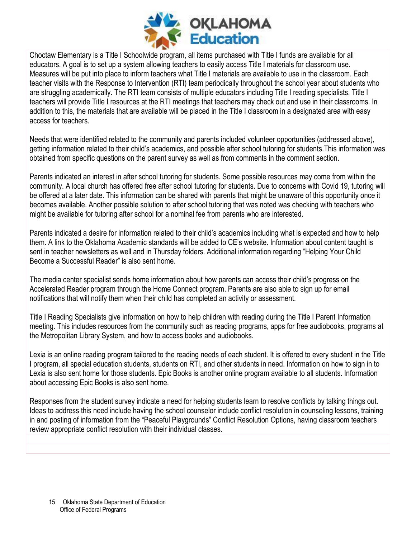

Choctaw Elementary is a Title I Schoolwide program, all items purchased with Title I funds are available for all educators. A goal is to set up a system allowing teachers to easily access Title I materials for classroom use. Measures will be put into place to inform teachers what Title I materials are available to use in the classroom. Each teacher visits with the Response to Intervention (RTI) team periodically throughout the school year about students who are struggling academically. The RTI team consists of multiple educators including Title I reading specialists. Title I teachers will provide Title I resources at the RTI meetings that teachers may check out and use in their classrooms. In addition to this, the materials that are available will be placed in the Title I classroom in a designated area with easy access for teachers.

Needs that were identified related to the community and parents included volunteer opportunities (addressed above), getting information related to their child's academics, and possible after school tutoring for students.This information was obtained from specific questions on the parent survey as well as from comments in the comment section.

Parents indicated an interest in after school tutoring for students. Some possible resources may come from within the community. A local church has offered free after school tutoring for students. Due to concerns with Covid 19, tutoring will be offered at a later date. This information can be shared with parents that might be unaware of this opportunity once it becomes available. Another possible solution to after school tutoring that was noted was checking with teachers who might be available for tutoring after school for a nominal fee from parents who are interested.

Parents indicated a desire for information related to their child's academics including what is expected and how to help them. A link to the Oklahoma Academic standards will be added to CE's website. Information about content taught is sent in teacher newsletters as well and in Thursday folders. Additional information regarding "Helping Your Child Become a Successful Reader" is also sent home.

The media center specialist sends home information about how parents can access their child's progress on the Accelerated Reader program through the Home Connect program. Parents are also able to sign up for email notifications that will notify them when their child has completed an activity or assessment.

Title I Reading Specialists give information on how to help children with reading during the Title I Parent Information meeting. This includes resources from the community such as reading programs, apps for free audiobooks, programs at the Metropolitan Library System, and how to access books and audiobooks.

Lexia is an online reading program tailored to the reading needs of each student. It is offered to every student in the Title I program, all special education students, students on RTI, and other students in need. Information on how to sign in to Lexia is also sent home for those students. Epic Books is another online program available to all students. Information about accessing Epic Books is also sent home.

Responses from the student survey indicate a need for helping students learn to resolve conflicts by talking things out. Ideas to address this need include having the school counselor include conflict resolution in counseling lessons, training in and posting of information from the "Peaceful Playgrounds" Conflict Resolution Options, having classroom teachers review appropriate conflict resolution with their individual classes.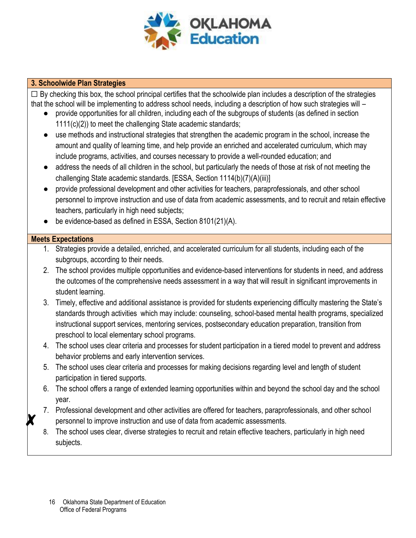

#### **3. Schoolwide Plan Strategies**

 $\Box$  By checking this box, the school principal certifies that the schoolwide plan includes a description of the strategies that the school will be implementing to address school needs, including a description of how such strategies will –

- provide opportunities for all children, including each of the subgroups of students (as defined in section 1111(c)(2)) to meet the challenging State academic standards;
- use methods and instructional strategies that strengthen the academic program in the school, increase the amount and quality of learning time, and help provide an enriched and accelerated curriculum, which may include programs, activities, and courses necessary to provide a well-rounded education; and
- address the needs of all children in the school, but particularly the needs of those at risk of not meeting the challenging State academic standards. [ESSA, Section 1114(b)(7)(A)(iii)]
- provide professional development and other activities for teachers, paraprofessionals, and other school personnel to improve instruction and use of data from academic assessments, and to recruit and retain effective teachers, particularly in high need subjects;
- be evidence-based as defined in ESSA, Section 8101(21)(A).

- 1. Strategies provide a detailed, enriched, and accelerated curriculum for all students, including each of the subgroups, according to their needs.
- 2. The school provides multiple opportunities and evidence-based interventions for students in need, and address the outcomes of the comprehensive needs assessment in a way that will result in significant improvements in student learning.
- 3. Timely, effective and additional assistance is provided for students experiencing difficulty mastering the State's standards through activities which may include: counseling, school-based mental health programs, specialized instructional support services, mentoring services, postsecondary education preparation, transition from preschool to local elementary school programs.
- 4. The school uses clear criteria and processes for student participation in a tiered model to prevent and address behavior problems and early intervention services.
- 5. The school uses clear criteria and processes for making decisions regarding level and length of student participation in tiered supports.
- 6. The school offers a range of extended learning opportunities within and beyond the school day and the school year.
- 7. Professional development and other activities are offered for teachers, paraprofessionals, and other school personnel to improve instruction and use of data from academic assessments.
- 8. The school uses clear, diverse strategies to recruit and retain effective teachers, particularly in high need subjects.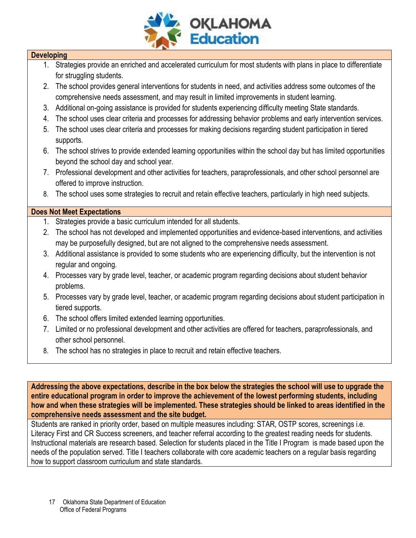

#### **Developing**

- 1. Strategies provide an enriched and accelerated curriculum for most students with plans in place to differentiate for struggling students.
- 2. The school provides general interventions for students in need, and activities address some outcomes of the comprehensive needs assessment, and may result in limited improvements in student learning.
- 3. Additional on-going assistance is provided for students experiencing difficulty meeting State standards.
- 4. The school uses clear criteria and processes for addressing behavior problems and early intervention services.
- 5. The school uses clear criteria and processes for making decisions regarding student participation in tiered supports.
- 6. The school strives to provide extended learning opportunities within the school day but has limited opportunities beyond the school day and school year.
- 7. Professional development and other activities for teachers, paraprofessionals, and other school personnel are offered to improve instruction.
- 8. The school uses some strategies to recruit and retain effective teachers, particularly in high need subjects.

#### **Does Not Meet Expectations**

- 1. Strategies provide a basic curriculum intended for all students.
- 2. The school has not developed and implemented opportunities and evidence-based interventions, and activities may be purposefully designed, but are not aligned to the comprehensive needs assessment.
- 3. Additional assistance is provided to some students who are experiencing difficulty, but the intervention is not regular and ongoing.
- 4. Processes vary by grade level, teacher, or academic program regarding decisions about student behavior problems.
- 5. Processes vary by grade level, teacher, or academic program regarding decisions about student participation in tiered supports.
- 6. The school offers limited extended learning opportunities.
- 7. Limited or no professional development and other activities are offered for teachers, paraprofessionals, and other school personnel.
- 8. The school has no strategies in place to recruit and retain effective teachers.

**Addressing the above expectations, describe in the box below the strategies the school will use to upgrade the entire educational program in order to improve the achievement of the lowest performing students, including how and when these strategies will be implemented. These strategies should be linked to areas identified in the comprehensive needs assessment and the site budget.**

Students are ranked in priority order, based on multiple measures including: STAR, OSTP scores, screenings i.e. Literacy First and CR Success screeners, and teacher referral according to the greatest reading needs for students. Instructional materials are research based. Selection for students placed in the Title I Program is made based upon the needs of the population served. Title I teachers collaborate with core academic teachers on a regular basis regarding how to support classroom curriculum and state standards.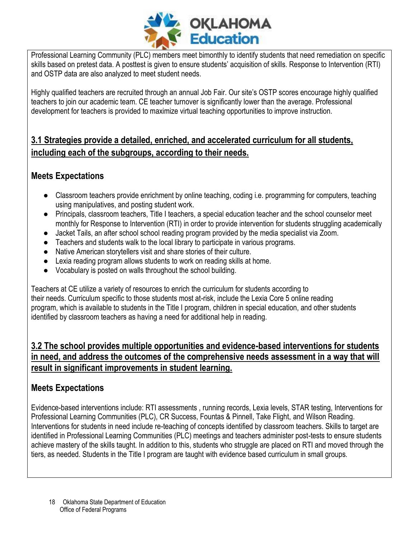

 $\overline{a}$ Professional Learning Community (PLC) members meet bimonthly to identify students that need remediation on specific skills based on pretest data. A posttest is given to ensure students' acquisition of skills. Response to Intervention (RTI) and OSTP data are also analyzed to meet student needs.

Highly qualified teachers are recruited through an annual Job Fair. Our site's OSTP scores encourage highly qualified teachers to join our academic team. CE teacher turnover is significantly lower than the average. Professional development for teachers is provided to maximize virtual teaching opportunities to improve instruction.

# **3.1 Strategies provide a detailed, enriched, and accelerated curriculum for all students, including each of the subgroups, according to their needs.**

# **Meets Expectations**

- Classroom teachers provide enrichment by online teaching, coding i.e. programming for computers, teaching using manipulatives, and posting student work.
- Principals, classroom teachers, Title I teachers, a special education teacher and the school counselor meet monthly for Response to Intervention (RTI) in order to provide intervention for students struggling academically
- Jacket Tails, an after school school reading program provided by the media specialist via Zoom.
- Teachers and students walk to the local library to participate in various programs.
- Native American storytellers visit and share stories of their culture.
- Lexia reading program allows students to work on reading skills at home.
- Vocabulary is posted on walls throughout the school building.

Teachers at CE utilize a variety of resources to enrich the curriculum for students according to their needs. Curriculum specific to those students most at-risk, include the Lexia Core 5 online reading program, which is available to students in the Title I program, children in special education, and other students identified by classroom teachers as having a need for additional help in reading.

## **3.2 The school provides multiple opportunities and evidence-based interventions for students in need, and address the outcomes of the comprehensive needs assessment in a way that will result in significant improvements in student learning.**

# **Meets Expectations**

Evidence-based interventions include: RTI assessments , running records, Lexia levels, STAR testing, Interventions for Professional Learning Communities (PLC), CR Success, Fountas & Pinnell, Take Flight, and Wilson Reading. Interventions for students in need include re-teaching of concepts identified by classroom teachers. Skills to target are identified in Professional Learning Communities (PLC) meetings and teachers administer post-tests to ensure students achieve mastery of the skills taught. In addition to this, students who struggle are placed on RTI and moved through the tiers, as needed. Students in the Title I program are taught with evidence based curriculum in small groups.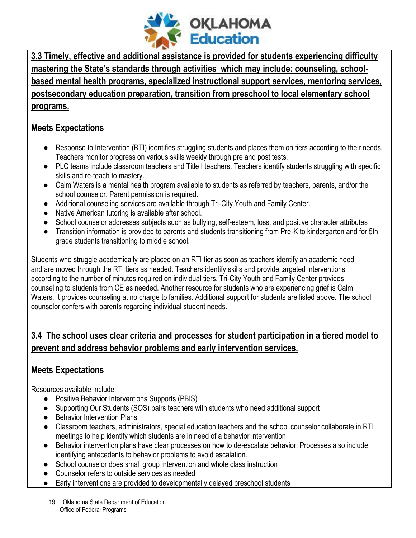

 $\overline{a}$ **3.3 Timely, effective and additional assistance is provided for students experiencing difficulty mastering the State's standards through activities which may include: counseling, schoolbased mental health programs, specialized instructional support services, mentoring services, postsecondary education preparation, transition from preschool to local elementary school programs.**

# **Meets Expectations**

- Response to Intervention (RTI) identifies struggling students and places them on tiers according to their needs. Teachers monitor progress on various skills weekly through pre and post tests.
- PLC teams include classroom teachers and Title I teachers. Teachers identify students struggling with specific skills and re-teach to mastery.
- Calm Waters is a mental health program available to students as referred by teachers, parents, and/or the school counselor. Parent permission is required.
- Additional counseling services are available through Tri-City Youth and Family Center.
- Native American tutoring is available after school.
- School counselor addresses subjects such as bullying, self-esteem, loss, and positive character attributes
- Transition information is provided to parents and students transitioning from Pre-K to kindergarten and for 5th grade students transitioning to middle school.

Students who struggle academically are placed on an RTI tier as soon as teachers identify an academic need and are moved through the RTI tiers as needed. Teachers identify skills and provide targeted interventions according to the number of minutes required on individual tiers. Tri-City Youth and Family Center provides counseling to students from CE as needed. Another resource for students who are experiencing grief is Calm Waters. It provides counseling at no charge to families. Additional support for students are listed above. The school counselor confers with parents regarding individual student needs.

# **3.4 The school uses clear criteria and processes for student participation in a tiered model to prevent and address behavior problems and early intervention services.**

# **Meets Expectations**

Resources available include:

- Positive Behavior Interventions Supports (PBIS)
- Supporting Our Students (SOS) pairs teachers with students who need additional support
- **Behavior Intervention Plans**
- Classroom teachers, administrators, special education teachers and the school counselor collaborate in RTI meetings to help identify which students are in need of a behavior intervention
- Behavior intervention plans have clear processes on how to de-escalate behavior. Processes also include identifying antecedents to behavior problems to avoid escalation.
- School counselor does small group intervention and whole class instruction
- Counselor refers to outside services as needed
- Early interventions are provided to developmentally delayed preschool students
	- 19 Oklahoma State Department of Education Office of Federal Programs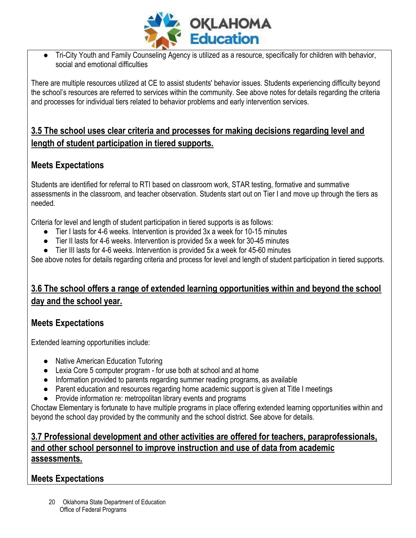

Tri-City Youth and Family Counseling Agency is utilized as a resource, specifically for children with behavior, social and emotional difficulties

There are multiple resources utilized at CE to assist students' behavior issues. Students experiencing difficulty beyond the school's resources are referred to services within the community. See above notes for details regarding the criteria and processes for individual tiers related to behavior problems and early intervention services.

# **3.5 The school uses clear criteria and processes for making decisions regarding level and length of student participation in tiered supports.**

# **Meets Expectations**

Students are identified for referral to RTI based on classroom work, STAR testing, formative and summative assessments in the classroom, and teacher observation. Students start out on Tier I and move up through the tiers as needed.

Criteria for level and length of student participation in tiered supports is as follows:

- Tier I lasts for 4-6 weeks. Intervention is provided 3x a week for 10-15 minutes
- Tier II lasts for 4-6 weeks. Intervention is provided 5x a week for 30-45 minutes
- Tier III lasts for 4-6 weeks. Intervention is provided 5x a week for 45-60 minutes

See above notes for details regarding criteria and process for level and length of student participation in tiered supports.

# **3.6 The school offers a range of extended learning opportunities within and beyond the school day and the school year.**

# **Meets Expectations**

Extended learning opportunities include:

- Native American Education Tutoring
- Lexia Core 5 computer program for use both at school and at home
- Information provided to parents regarding summer reading programs, as available
- Parent education and resources regarding home academic support is given at Title I meetings
- Provide information re: metropolitan library events and programs

Choctaw Elementary is fortunate to have multiple programs in place offering extended learning opportunities within and beyond the school day provided by the community and the school district. See above for details.

## **3.7 Professional development and other activities are offered for teachers, paraprofessionals, and other school personnel to improve instruction and use of data from academic assessments.**

# **Meets Expectations**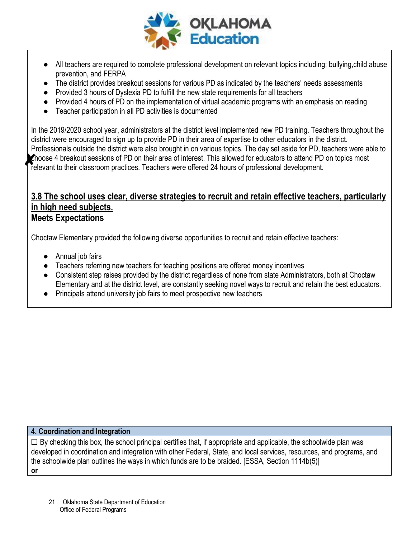

- All teachers are required to complete professional development on relevant topics including: bullying,child abuse prevention, and FERPA
- The district provides breakout sessions for various PD as indicated by the teachers' needs assessments
- Provided 3 hours of Dyslexia PD to fulfill the new state requirements for all teachers
- Provided 4 hours of PD on the implementation of virtual academic programs with an emphasis on reading
- Teacher participation in all PD activities is documented

In the 2019/2020 school year, administrators at the district level implemented new PD training. Teachers throughout the district were encouraged to sign up to provide PD in their area of expertise to other educators in the district. Professionals outside the district were also brought in on various topics. The day set aside for PD, teachers were able to choose 4 breakout sessions of PD on their area of interest. This allowed for educators to attend PD on topics most relevant to their classroom practices. Teachers were offered 24 hours of professional development.

### **3.8 The school uses clear, diverse strategies to recruit and retain effective teachers, particularly in high need subjects. Meets Expectations**

Choctaw Elementary provided the following diverse opportunities to recruit and retain effective teachers:

- Annual job fairs
- Teachers referring new teachers for teaching positions are offered money incentives
- Consistent step raises provided by the district regardless of none from state Administrators, both at Choctaw Elementary and at the district level, are constantly seeking novel ways to recruit and retain the best educators.
- Principals attend university job fairs to meet prospective new teachers

#### **4. Coordination and Integration**

 $\Box$  By checking this box, the school principal certifies that, if appropriate and applicable, the schoolwide plan was developed in coordination and integration with other Federal, State, and local services, resources, and programs, and the schoolwide plan outlines the ways in which funds are to be braided. [ESSA, Section 1114b(5)] **or**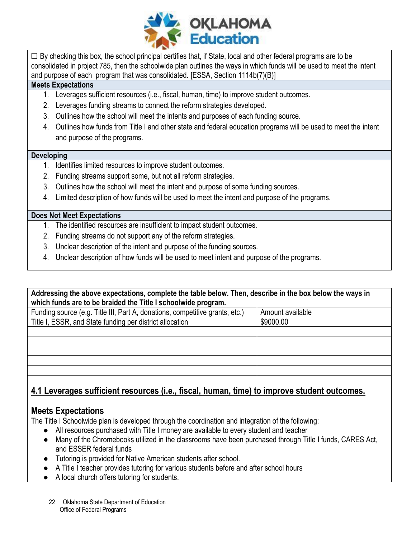

 $\Box$  By checking this box, the school principal certifies that, if State, local and other federal programs are to be consolidated in project 785, then the schoolwide plan outlines the ways in which funds will be used to meet the intent and purpose of each program that was consolidated. [ESSA, Section 1114b(7)(B)]

#### **Meets Expectations**

- 1. Leverages sufficient resources (i.e., fiscal, human, time) to improve student outcomes.
- 2. Leverages funding streams to connect the reform strategies developed.
- 3. Outlines how the school will meet the intents and purposes of each funding source.
- 4. Outlines how funds from Title I and other state and federal education programs will be used to meet the intent and purpose of the programs.

#### **Developing**

- 1. Identifies limited resources to improve student outcomes.
- 2. Funding streams support some, but not all reform strategies.
- 3. Outlines how the school will meet the intent and purpose of some funding sources.
- 4. Limited description of how funds will be used to meet the intent and purpose of the programs.

#### **Does Not Meet Expectations**

- 1. The identified resources are insufficient to impact student outcomes.
- 2. Funding streams do not support any of the reform strategies.
- 3. Unclear description of the intent and purpose of the funding sources.
- 4. Unclear description of how funds will be used to meet intent and purpose of the programs.

**Addressing the above expectations, complete the table below. Then, describe in the box below the ways in which funds are to be braided the Title I schoolwide program.**

| Funding source (e.g. Title III, Part A, donations, competitive grants, etc.) | Amount available |
|------------------------------------------------------------------------------|------------------|
| Title I, ESSR, and State funding per district allocation                     | \$9000.00        |
|                                                                              |                  |
|                                                                              |                  |
|                                                                              |                  |
|                                                                              |                  |
|                                                                              |                  |
|                                                                              |                  |

# **4.1 Leverages sufficient resources (i.e., fiscal, human, time) to improve student outcomes.**

## **Meets Expectations**

The Title I Schoolwide plan is developed through the coordination and integration of the following:

- All resources purchased with Title I money are available to every student and teacher
- Many of the Chromebooks utilized in the classrooms have been purchased through Title I funds, CARES Act, and ESSER federal funds
- Tutoring is provided for Native American students after school.
- A Title I teacher provides tutoring for various students before and after school hours
- A local church offers tutoring for students.
	- 22 Oklahoma State Department of Education Office of Federal Programs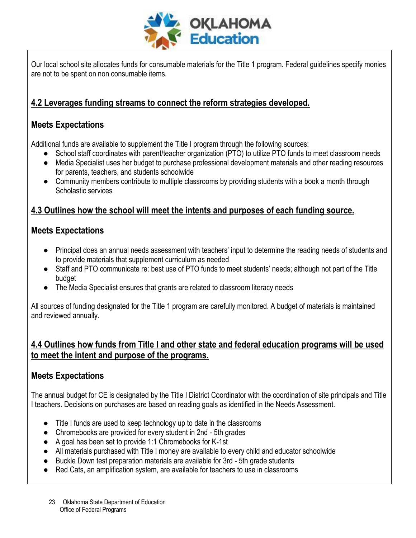

Our local school site allocates funds for consumable materials for the Title 1 program. Federal guidelines specify monies are not to be spent on non consumable items.

# **4.2 Leverages funding streams to connect the reform strategies developed.**

# **Meets Expectations**

Additional funds are available to supplement the Title I program through the following sources:

- School staff coordinates with parent/teacher organization (PTO) to utilize PTO funds to meet classroom needs
- Media Specialist uses her budget to purchase professional development materials and other reading resources for parents, teachers, and students schoolwide
- Community members contribute to multiple classrooms by providing students with a book a month through Scholastic services

# **4.3 Outlines how the school will meet the intents and purposes of each funding source.**

# **Meets Expectations**

- Principal does an annual needs assessment with teachers' input to determine the reading needs of students and to provide materials that supplement curriculum as needed
- Staff and PTO communicate re: best use of PTO funds to meet students' needs; although not part of the Title budget
- The Media Specialist ensures that grants are related to classroom literacy needs

All sources of funding designated for the Title 1 program are carefully monitored. A budget of materials is maintained and reviewed annually.

# **4.4 Outlines how funds from Title I and other state and federal education programs will be used to meet the intent and purpose of the programs.**

# **Meets Expectations**

The annual budget for CE is designated by the Title I District Coordinator with the coordination of site principals and Title I teachers. Decisions on purchases are based on reading goals as identified in the Needs Assessment.

- Title I funds are used to keep technology up to date in the classrooms
- Chromebooks are provided for every student in 2nd 5th grades
- A goal has been set to provide 1:1 Chromebooks for K-1st
- All materials purchased with Title I money are available to every child and educator schoolwide
- Buckle Down test preparation materials are available for 3rd 5th grade students
- Red Cats, an amplification system, are available for teachers to use in classrooms
- 23 Oklahoma State Department of Education Office of Federal Programs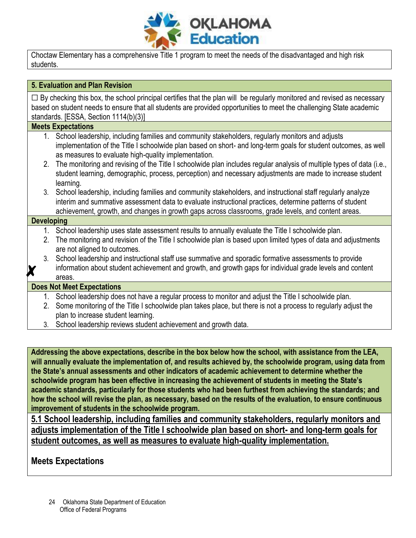

Choctaw Elementary has a comprehensive Title 1 program to meet the needs of the disadvantaged and high risk students.

| $\Box$ By checking this box, the school principal certifies that the plan will be regularly monitored and revised as necessary<br>based on student needs to ensure that all students are provided opportunities to meet the challenging State academic                                                                         |
|--------------------------------------------------------------------------------------------------------------------------------------------------------------------------------------------------------------------------------------------------------------------------------------------------------------------------------|
|                                                                                                                                                                                                                                                                                                                                |
|                                                                                                                                                                                                                                                                                                                                |
| implementation of the Title I schoolwide plan based on short- and long-term goals for student outcomes, as well                                                                                                                                                                                                                |
| The monitoring and revising of the Title I schoolwide plan includes regular analysis of multiple types of data (i.e.,<br>student learning, demographic, process, perception) and necessary adjustments are made to increase student                                                                                            |
| School leadership, including families and community stakeholders, and instructional staff regularly analyze<br>interim and summative assessment data to evaluate instructional practices, determine patterns of student<br>achievement, growth, and changes in growth gaps across classrooms, grade levels, and content areas. |
|                                                                                                                                                                                                                                                                                                                                |
| The monitoring and revision of the Title I schoolwide plan is based upon limited types of data and adjustments                                                                                                                                                                                                                 |
| School leadership and instructional staff use summative and sporadic formative assessments to provide<br>information about student achievement and growth, and growth gaps for individual grade levels and content                                                                                                             |
|                                                                                                                                                                                                                                                                                                                                |
| School leadership does not have a regular process to monitor and adjust the Title I schoolwide plan.<br>Some monitoring of the Title I schoolwide plan takes place, but there is not a process to regularly adjust the                                                                                                         |
|                                                                                                                                                                                                                                                                                                                                |

3. School leadership reviews student achievement and growth data.

**Addressing the above expectations, describe in the box below how the school, with assistance from the LEA, will annually evaluate the implementation of, and results achieved by, the schoolwide program, using data from the State's annual assessments and other indicators of academic achievement to determine whether the schoolwide program has been effective in increasing the achievement of students in meeting the State's academic standards, particularly for those students who had been furthest from achieving the standards; and how the school will revise the plan, as necessary, based on the results of the evaluation, to ensure continuous improvement of students in the schoolwide program.**

**5.1 School leadership, including families and community stakeholders, regularly monitors and adjusts implementation of the Title I schoolwide plan based on short- and long-term goals for student outcomes, as well as measures to evaluate high-quality implementation.**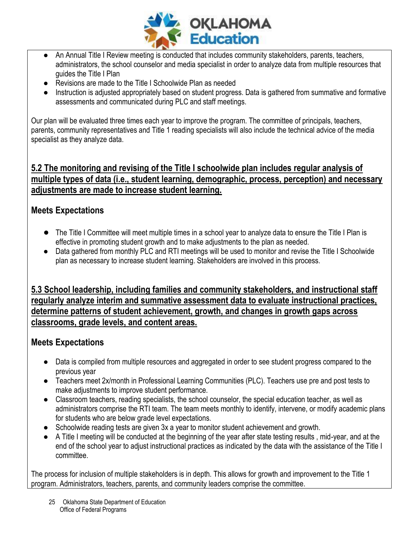

- An Annual Title I Review meeting is conducted that includes community stakeholders, parents, teachers, administrators, the school counselor and media specialist in order to analyze data from multiple resources that guides the Title I Plan
- Revisions are made to the Title I Schoolwide Plan as needed
- Instruction is adjusted appropriately based on student progress. Data is gathered from summative and formative assessments and communicated during PLC and staff meetings.

Our plan will be evaluated three times each year to improve the program. The committee of principals, teachers, parents, community representatives and Title 1 reading specialists will also include the technical advice of the media specialist as they analyze data.

## **5.2 The monitoring and revising of the Title I schoolwide plan includes regular analysis of multiple types of data (i.e., student learning, demographic, process, perception) and necessary adjustments are made to increase student learning.**

# **Meets Expectations**

- The Title I Committee will meet multiple times in a school year to analyze data to ensure the Title I Plan is effective in promoting student growth and to make adjustments to the plan as needed.
- Data gathered from monthly PLC and RTI meetings will be used to monitor and revise the Title I Schoolwide plan as necessary to increase student learning. Stakeholders are involved in this process.

**5.3 School leadership, including families and community stakeholders, and instructional staff regularly analyze interim and summative assessment data to evaluate instructional practices, determine patterns of student achievement, growth, and changes in growth gaps across classrooms, grade levels, and content areas.**

### **Meets Expectations**

- Data is compiled from multiple resources and aggregated in order to see student progress compared to the previous year
- Teachers meet 2x/month in Professional Learning Communities (PLC). Teachers use pre and post tests to make adjustments to improve student performance.
- Classroom teachers, reading specialists, the school counselor, the special education teacher, as well as administrators comprise the RTI team. The team meets monthly to identify, intervene, or modify academic plans for students who are below grade level expectations.
- Schoolwide reading tests are given 3x a year to monitor student achievement and growth.
- A Title I meeting will be conducted at the beginning of the year after state testing results , mid-year, and at the end of the school year to adjust instructional practices as indicated by the data with the assistance of the Title I committee.

The process for inclusion of multiple stakeholders is in depth. This allows for growth and improvement to the Title 1 program. Administrators, teachers, parents, and community leaders comprise the committee.